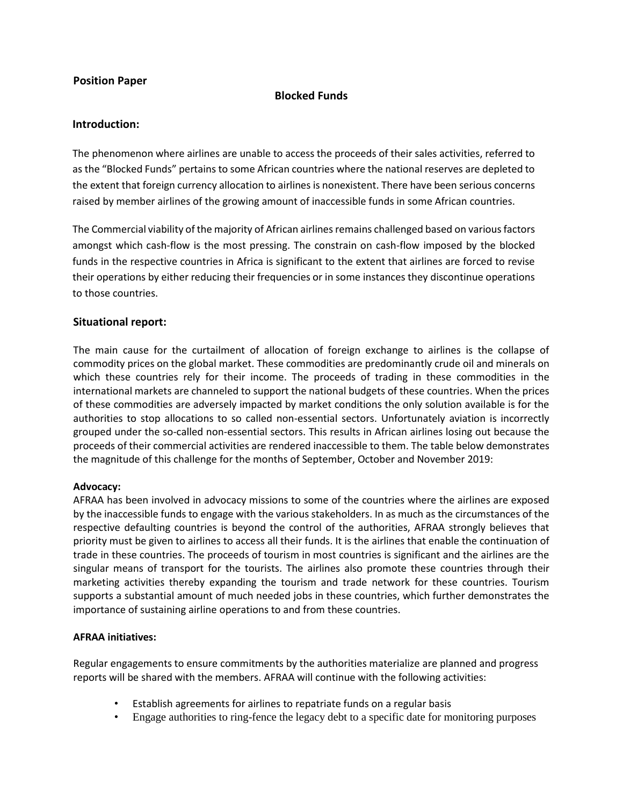# **Position Paper**

# **Blocked Funds**

### **Introduction:**

The phenomenon where airlines are unable to access the proceeds of their sales activities, referred to as the "Blocked Funds" pertains to some African countries where the national reserves are depleted to the extent that foreign currency allocation to airlines is nonexistent. There have been serious concerns raised by member airlines of the growing amount of inaccessible funds in some African countries.

The Commercial viability of the majority of African airlines remains challenged based on various factors amongst which cash-flow is the most pressing. The constrain on cash-flow imposed by the blocked funds in the respective countries in Africa is significant to the extent that airlines are forced to revise their operations by either reducing their frequencies or in some instances they discontinue operations to those countries.

# **Situational report:**

The main cause for the curtailment of allocation of foreign exchange to airlines is the collapse of commodity prices on the global market. These commodities are predominantly crude oil and minerals on which these countries rely for their income. The proceeds of trading in these commodities in the international markets are channeled to support the national budgets of these countries. When the prices of these commodities are adversely impacted by market conditions the only solution available is for the authorities to stop allocations to so called non-essential sectors. Unfortunately aviation is incorrectly grouped under the so-called non-essential sectors. This results in African airlines losing out because the proceeds of their commercial activities are rendered inaccessible to them. The table below demonstrates the magnitude of this challenge for the months of September, October and November 2019:

### **Advocacy:**

AFRAA has been involved in advocacy missions to some of the countries where the airlines are exposed by the inaccessible funds to engage with the various stakeholders. In as much as the circumstances of the respective defaulting countries is beyond the control of the authorities, AFRAA strongly believes that priority must be given to airlines to access all their funds. It is the airlines that enable the continuation of trade in these countries. The proceeds of tourism in most countries is significant and the airlines are the singular means of transport for the tourists. The airlines also promote these countries through their marketing activities thereby expanding the tourism and trade network for these countries. Tourism supports a substantial amount of much needed jobs in these countries, which further demonstrates the importance of sustaining airline operations to and from these countries.

### **AFRAA initiatives:**

Regular engagements to ensure commitments by the authorities materialize are planned and progress reports will be shared with the members. AFRAA will continue with the following activities:

- Establish agreements for airlines to repatriate funds on a regular basis
- Engage authorities to ring-fence the legacy debt to a specific date for monitoring purposes